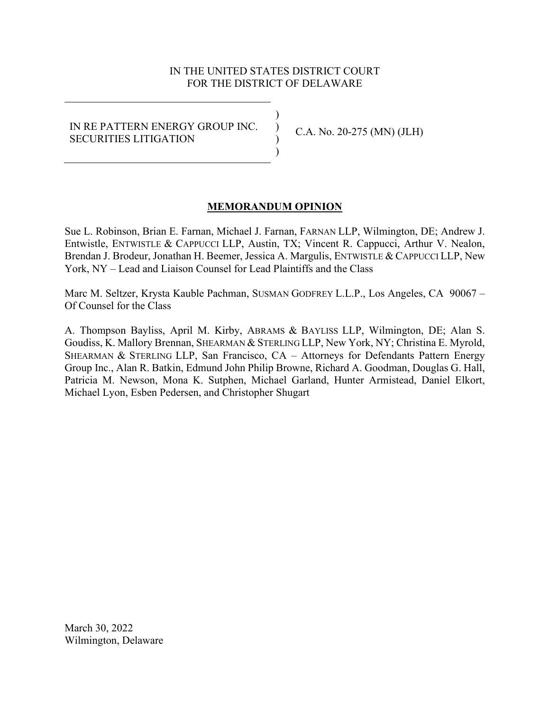# IN THE UNITED STATES DISTRICT COURT FOR THE DISTRICT OF DELAWARE

) ) ) )

# IN RE PATTERN ENERGY GROUP INC. SECURITIES LITIGATION

C.A. No. 20-275 (MN) (JLH)

# **MEMORANDUM OPINION**

Sue L. Robinson, Brian E. Farnan, Michael J. Farnan, FARNAN LLP, Wilmington, DE; Andrew J. Entwistle, ENTWISTLE & CAPPUCCI LLP, Austin, TX; Vincent R. Cappucci, Arthur V. Nealon, Brendan J. Brodeur, Jonathan H. Beemer, Jessica A. Margulis, ENTWISTLE & CAPPUCCI LLP, New York, NY – Lead and Liaison Counsel for Lead Plaintiffs and the Class

Marc M. Seltzer, Krysta Kauble Pachman, SUSMAN GODFREY L.L.P., Los Angeles, CA 90067 – Of Counsel for the Class

A. Thompson Bayliss, April M. Kirby, ABRAMS & BAYLISS LLP, Wilmington, DE; Alan S. Goudiss, K. Mallory Brennan, SHEARMAN & STERLING LLP, New York, NY; Christina E. Myrold, SHEARMAN & STERLING LLP, San Francisco, CA – Attorneys for Defendants Pattern Energy Group Inc., Alan R. Batkin, Edmund John Philip Browne, Richard A. Goodman, Douglas G. Hall, Patricia M. Newson, Mona K. Sutphen, Michael Garland, Hunter Armistead, Daniel Elkort, Michael Lyon, Esben Pedersen, and Christopher Shugart

March 30, 2022 Wilmington, Delaware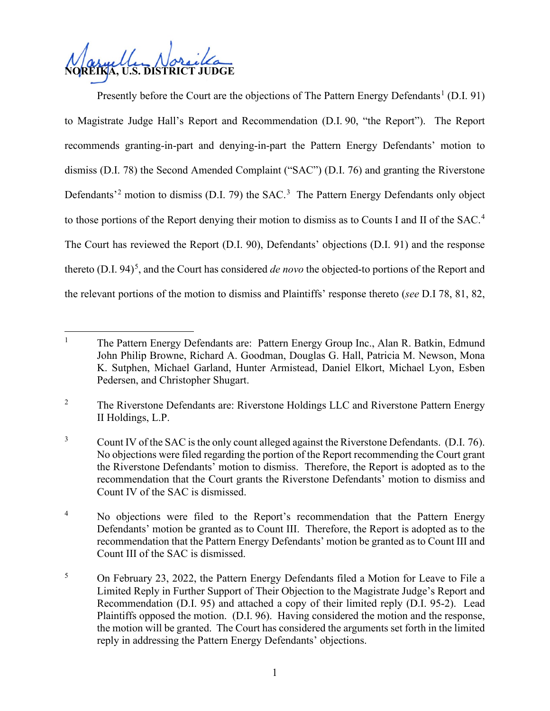**NOREIKA, U.S. DISTRICT JUDGE**

Presently before the Court are the objections of The Pattern Energy Defendants<sup>[1](#page-1-0)</sup> (D.I. 91) to Magistrate Judge Hall's Report and Recommendation (D.I. 90, "the Report"). The Report recommends granting-in-part and denying-in-part the Pattern Energy Defendants' motion to dismiss (D.I. 78) the Second Amended Complaint ("SAC") (D.I. 76) and granting the Riverstone Defendants<sup>[2](#page-1-1)</sup> motion to dismiss (D.I. 79) the SAC.<sup>[3](#page-1-2)</sup> The Pattern Energy Defendants only object to those portions of the Report denying their motion to dismiss as to Counts I and II of the SAC.<sup>[4](#page-1-3)</sup> The Court has reviewed the Report (D.I. 90), Defendants' objections (D.I. 91) and the response thereto (D.I. 94) [5](#page-1-4) , and the Court has considered *de novo* the objected-to portions of the Report and the relevant portions of the motion to dismiss and Plaintiffs' response thereto (*see* D.I 78, 81, 82,

<span id="page-1-0"></span><sup>&</sup>lt;sup>1</sup> The Pattern Energy Defendants are: Pattern Energy Group Inc., Alan R. Batkin, Edmund John Philip Browne, Richard A. Goodman, Douglas G. Hall, Patricia M. Newson, Mona K. Sutphen, Michael Garland, Hunter Armistead, Daniel Elkort, Michael Lyon, Esben Pedersen, and Christopher Shugart.

<span id="page-1-1"></span><sup>&</sup>lt;sup>2</sup> The Riverstone Defendants are: Riverstone Holdings LLC and Riverstone Pattern Energy II Holdings, L.P.

<span id="page-1-2"></span><sup>&</sup>lt;sup>3</sup> Count IV of the SAC is the only count alleged against the Riverstone Defendants. (D.I. 76). No objections were filed regarding the portion of the Report recommending the Court grant the Riverstone Defendants' motion to dismiss. Therefore, the Report is adopted as to the recommendation that the Court grants the Riverstone Defendants' motion to dismiss and Count IV of the SAC is dismissed.

<span id="page-1-3"></span><sup>&</sup>lt;sup>4</sup> No objections were filed to the Report's recommendation that the Pattern Energy Defendants' motion be granted as to Count III. Therefore, the Report is adopted as to the recommendation that the Pattern Energy Defendants' motion be granted as to Count III and Count III of the SAC is dismissed.

<span id="page-1-4"></span><sup>5</sup> On February 23, 2022, the Pattern Energy Defendants filed a Motion for Leave to File a Limited Reply in Further Support of Their Objection to the Magistrate Judge's Report and Recommendation (D.I. 95) and attached a copy of their limited reply (D.I. 95-2). Lead Plaintiffs opposed the motion. (D.I. 96). Having considered the motion and the response, the motion will be granted. The Court has considered the arguments set forth in the limited reply in addressing the Pattern Energy Defendants' objections.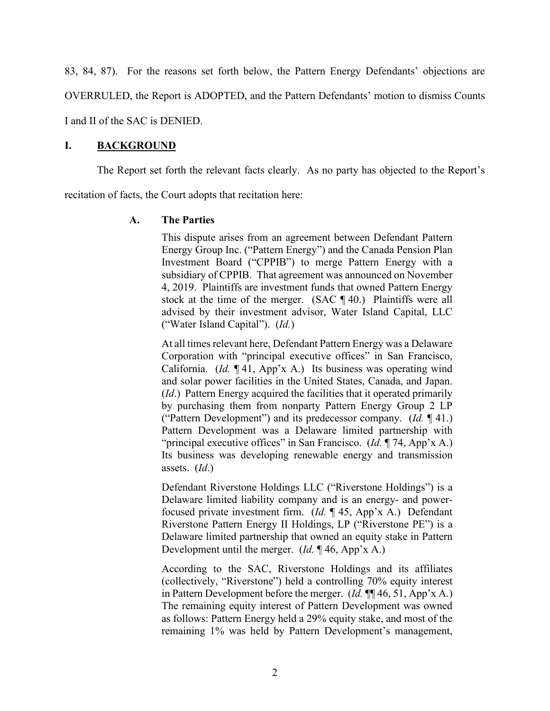83, 84, 87). For the reasons set forth below, the Pattern Energy Defendants' objections are OVERRULED, the Report is ADOPTED, and the Pattern Defendants' motion to dismiss Counts I and II of the SAC is DENIED.

## **I. BACKGROUND**

The Report set forth the relevant facts clearly. As no party has objected to the Report's

recitation of facts, the Court adopts that recitation here:

## **A. The Parties**

This dispute arises from an agreement between Defendant Pattern Energy Group Inc. ("Pattern Energy") and the Canada Pension Plan Investment Board ("CPPIB") to merge Pattern Energy with a subsidiary of CPPIB. That agreement was announced on November 4, 2019. Plaintiffs are investment funds that owned Pattern Energy stock at the time of the merger. (SAC ¶ 40.) Plaintiffs were all advised by their investment advisor, Water Island Capital, LLC ("Water Island Capital"). (*Id.*)

At all times relevant here, Defendant Pattern Energy was a Delaware Corporation with "principal executive offices" in San Francisco, California. (*Id.* ¶ 41, App'x A.) Its business was operating wind and solar power facilities in the United States, Canada, and Japan. (*Id*.) Pattern Energy acquired the facilities that it operated primarily by purchasing them from nonparty Pattern Energy Group 2 LP ("Pattern Development") and its predecessor company. (*Id.* ¶ 41.) Pattern Development was a Delaware limited partnership with "principal executive offices" in San Francisco. (*Id.* ¶ 74, App'x A.) Its business was developing renewable energy and transmission assets. (*Id*.)

Defendant Riverstone Holdings LLC ("Riverstone Holdings") is a Delaware limited liability company and is an energy- and powerfocused private investment firm. (*Id.* ¶ 45, App'x A.) Defendant Riverstone Pattern Energy II Holdings, LP ("Riverstone PE") is a Delaware limited partnership that owned an equity stake in Pattern Development until the merger. (*Id.* ¶ 46, App'x A.)

According to the SAC, Riverstone Holdings and its affiliates (collectively, "Riverstone") held a controlling 70% equity interest in Pattern Development before the merger. (*Id.* ¶¶ 46, 51, App'x A.) The remaining equity interest of Pattern Development was owned as follows: Pattern Energy held a 29% equity stake, and most of the remaining 1% was held by Pattern Development's management,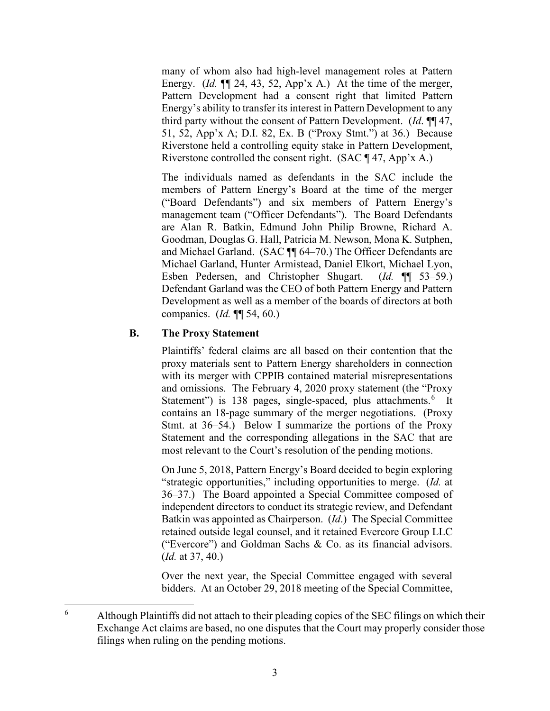many of whom also had high-level management roles at Pattern Energy. (*Id.*  $\P$  24, 43, 52, App'x A.) At the time of the merger, Pattern Development had a consent right that limited Pattern Energy's ability to transfer its interest in Pattern Development to any third party without the consent of Pattern Development. (*Id*. ¶¶ 47, 51, 52, App'x A; D.I. 82, Ex. B ("Proxy Stmt.") at 36.) Because Riverstone held a controlling equity stake in Pattern Development, Riverstone controlled the consent right. (SAC ¶ 47, App'x A.)

The individuals named as defendants in the SAC include the members of Pattern Energy's Board at the time of the merger ("Board Defendants") and six members of Pattern Energy's management team ("Officer Defendants"). The Board Defendants are Alan R. Batkin, Edmund John Philip Browne, Richard A. Goodman, Douglas G. Hall, Patricia M. Newson, Mona K. Sutphen, and Michael Garland. (SAC ¶¶ 64–70.) The Officer Defendants are Michael Garland, Hunter Armistead, Daniel Elkort, Michael Lyon, Esben Pedersen, and Christopher Shugart. (*Id.* ¶¶ 53–59.) Defendant Garland was the CEO of both Pattern Energy and Pattern Development as well as a member of the boards of directors at both companies. (*Id.* ¶¶ 54, 60.)

# **B. The Proxy Statement**

Plaintiffs' federal claims are all based on their contention that the proxy materials sent to Pattern Energy shareholders in connection with its merger with CPPIB contained material misrepresentations and omissions. The February 4, 2020 proxy statement (the "Proxy Statement") is 138 pages, single-spaced, plus attachments.<sup>[6](#page-3-0)</sup> It contains an 18-page summary of the merger negotiations. (Proxy Stmt. at 36–54.) Below I summarize the portions of the Proxy Statement and the corresponding allegations in the SAC that are most relevant to the Court's resolution of the pending motions.

On June 5, 2018, Pattern Energy's Board decided to begin exploring "strategic opportunities," including opportunities to merge. (*Id.* at 36–37.) The Board appointed a Special Committee composed of independent directors to conduct its strategic review, and Defendant Batkin was appointed as Chairperson. (*Id*.) The Special Committee retained outside legal counsel, and it retained Evercore Group LLC ("Evercore") and Goldman Sachs & Co. as its financial advisors. (*Id.* at 37, 40.)

Over the next year, the Special Committee engaged with several bidders. At an October 29, 2018 meeting of the Special Committee,

<span id="page-3-0"></span><sup>&</sup>lt;sup>6</sup> Although Plaintiffs did not attach to their pleading copies of the SEC filings on which their Exchange Act claims are based, no one disputes that the Court may properly consider those filings when ruling on the pending motions.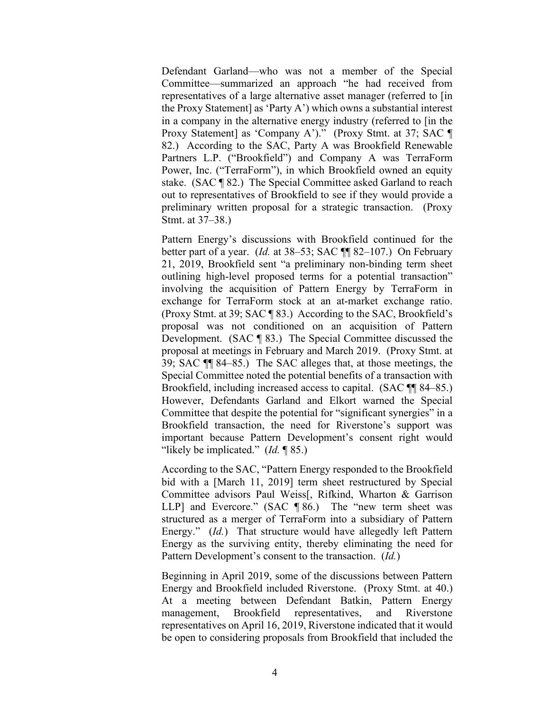Defendant Garland—who was not a member of the Special Committee—summarized an approach "he had received from representatives of a large alternative asset manager (referred to [in the Proxy Statement] as 'Party A') which owns a substantial interest in a company in the alternative energy industry (referred to [in the Proxy Statement] as 'Company A')." (Proxy Stmt. at 37; SAC ¶ 82.) According to the SAC, Party A was Brookfield Renewable Partners L.P. ("Brookfield") and Company A was TerraForm Power, Inc. ("TerraForm"), in which Brookfield owned an equity stake. (SAC ¶ 82.) The Special Committee asked Garland to reach out to representatives of Brookfield to see if they would provide a preliminary written proposal for a strategic transaction. (Proxy Stmt. at 37–38.)

Pattern Energy's discussions with Brookfield continued for the better part of a year. (*Id.* at 38–53; SAC ¶¶ 82–107.) On February 21, 2019, Brookfield sent "a preliminary non-binding term sheet outlining high-level proposed terms for a potential transaction" involving the acquisition of Pattern Energy by TerraForm in exchange for TerraForm stock at an at-market exchange ratio. (Proxy Stmt. at 39; SAC ¶ 83.) According to the SAC, Brookfield's proposal was not conditioned on an acquisition of Pattern Development. (SAC ¶ 83.) The Special Committee discussed the proposal at meetings in February and March 2019. (Proxy Stmt. at 39; SAC ¶¶ 84–85.) The SAC alleges that, at those meetings, the Special Committee noted the potential benefits of a transaction with Brookfield, including increased access to capital. (SAC ¶¶ 84–85.) However, Defendants Garland and Elkort warned the Special Committee that despite the potential for "significant synergies" in a Brookfield transaction, the need for Riverstone's support was important because Pattern Development's consent right would "likely be implicated." (*Id.* ¶ 85.)

According to the SAC, "Pattern Energy responded to the Brookfield bid with a [March 11, 2019] term sheet restructured by Special Committee advisors Paul Weiss[, Rifkind, Wharton & Garrison LLP] and Evercore." (SAC ¶ 86.) The "new term sheet was structured as a merger of TerraForm into a subsidiary of Pattern Energy." (*Id.*) That structure would have allegedly left Pattern Energy as the surviving entity, thereby eliminating the need for Pattern Development's consent to the transaction. (*Id.*)

Beginning in April 2019, some of the discussions between Pattern Energy and Brookfield included Riverstone. (Proxy Stmt. at 40.) At a meeting between Defendant Batkin, Pattern Energy management, Brookfield representatives, and Riverstone representatives on April 16, 2019, Riverstone indicated that it would be open to considering proposals from Brookfield that included the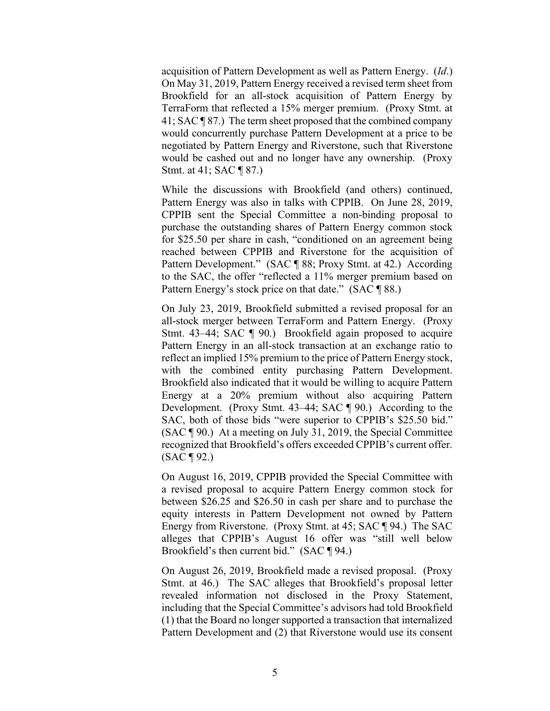acquisition of Pattern Development as well as Pattern Energy. (*Id*.) On May 31, 2019, Pattern Energy received a revised term sheet from Brookfield for an all-stock acquisition of Pattern Energy by TerraForm that reflected a 15% merger premium. (Proxy Stmt. at 41; SAC ¶ 87.) The term sheet proposed that the combined company would concurrently purchase Pattern Development at a price to be negotiated by Pattern Energy and Riverstone, such that Riverstone would be cashed out and no longer have any ownership. (Proxy Stmt. at 41; SAC ¶ 87.)

While the discussions with Brookfield (and others) continued, Pattern Energy was also in talks with CPPIB. On June 28, 2019, CPPIB sent the Special Committee a non-binding proposal to purchase the outstanding shares of Pattern Energy common stock for \$25.50 per share in cash, "conditioned on an agreement being reached between CPPIB and Riverstone for the acquisition of Pattern Development." (SAC ¶ 88; Proxy Stmt. at 42.) According to the SAC, the offer "reflected a 11% merger premium based on Pattern Energy's stock price on that date." (SAC ¶ 88.)

On July 23, 2019, Brookfield submitted a revised proposal for an all-stock merger between TerraForm and Pattern Energy. (Proxy Stmt. 43–44; SAC ¶ 90.) Brookfield again proposed to acquire Pattern Energy in an all-stock transaction at an exchange ratio to reflect an implied 15% premium to the price of Pattern Energy stock, with the combined entity purchasing Pattern Development. Brookfield also indicated that it would be willing to acquire Pattern Energy at a 20% premium without also acquiring Pattern Development. (Proxy Stmt. 43–44; SAC ¶ 90.) According to the SAC, both of those bids "were superior to CPPIB's \$25.50 bid." (SAC ¶ 90.) At a meeting on July 31, 2019, the Special Committee recognized that Brookfield's offers exceeded CPPIB's current offer. (SAC ¶ 92.)

On August 16, 2019, CPPIB provided the Special Committee with a revised proposal to acquire Pattern Energy common stock for between \$26.25 and \$26.50 in cash per share and to purchase the equity interests in Pattern Development not owned by Pattern Energy from Riverstone. (Proxy Stmt. at 45; SAC ¶ 94.) The SAC alleges that CPPIB's August 16 offer was "still well below Brookfield's then current bid." (SAC ¶ 94.)

On August 26, 2019, Brookfield made a revised proposal. (Proxy Stmt. at 46.) The SAC alleges that Brookfield's proposal letter revealed information not disclosed in the Proxy Statement, including that the Special Committee's advisors had told Brookfield (1) that the Board no longer supported a transaction that internalized Pattern Development and (2) that Riverstone would use its consent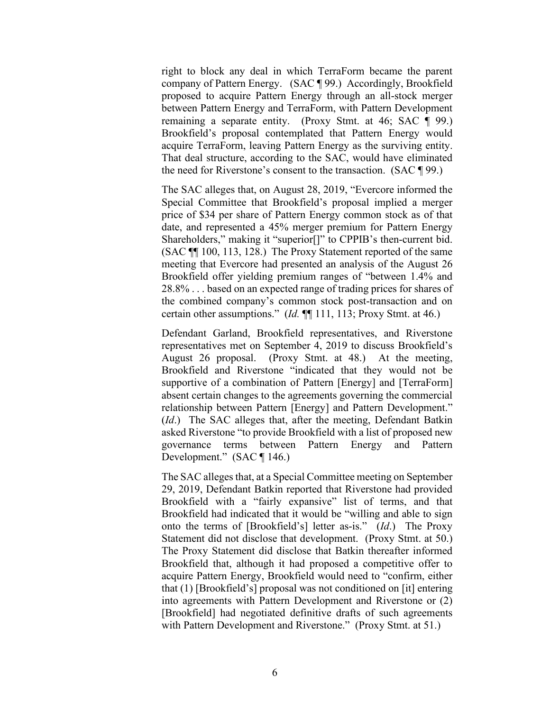right to block any deal in which TerraForm became the parent company of Pattern Energy. (SAC ¶ 99.) Accordingly, Brookfield proposed to acquire Pattern Energy through an all-stock merger between Pattern Energy and TerraForm, with Pattern Development remaining a separate entity. (Proxy Stmt. at 46; SAC ¶ 99.) Brookfield's proposal contemplated that Pattern Energy would acquire TerraForm, leaving Pattern Energy as the surviving entity. That deal structure, according to the SAC, would have eliminated the need for Riverstone's consent to the transaction. (SAC ¶ 99.)

The SAC alleges that, on August 28, 2019, "Evercore informed the Special Committee that Brookfield's proposal implied a merger price of \$34 per share of Pattern Energy common stock as of that date, and represented a 45% merger premium for Pattern Energy Shareholders," making it "superior[]" to CPPIB's then-current bid. (SAC ¶¶ 100, 113, 128.) The Proxy Statement reported of the same meeting that Evercore had presented an analysis of the August 26 Brookfield offer yielding premium ranges of "between 1.4% and 28.8% . . . based on an expected range of trading prices for shares of the combined company's common stock post-transaction and on certain other assumptions." (*Id.* ¶¶ 111, 113; Proxy Stmt. at 46.)

Defendant Garland, Brookfield representatives, and Riverstone representatives met on September 4, 2019 to discuss Brookfield's August 26 proposal. (Proxy Stmt. at 48.) At the meeting, Brookfield and Riverstone "indicated that they would not be supportive of a combination of Pattern [Energy] and [TerraForm] absent certain changes to the agreements governing the commercial relationship between Pattern [Energy] and Pattern Development." (*Id*.) The SAC alleges that, after the meeting, Defendant Batkin asked Riverstone "to provide Brookfield with a list of proposed new governance terms between Pattern Energy and Pattern Development." (SAC ¶ 146.)

The SAC alleges that, at a Special Committee meeting on September 29, 2019, Defendant Batkin reported that Riverstone had provided Brookfield with a "fairly expansive" list of terms, and that Brookfield had indicated that it would be "willing and able to sign onto the terms of [Brookfield's] letter as-is." (*Id*.) The Proxy Statement did not disclose that development. (Proxy Stmt. at 50.) The Proxy Statement did disclose that Batkin thereafter informed Brookfield that, although it had proposed a competitive offer to acquire Pattern Energy, Brookfield would need to "confirm, either that (1) [Brookfield's] proposal was not conditioned on [it] entering into agreements with Pattern Development and Riverstone or (2) [Brookfield] had negotiated definitive drafts of such agreements with Pattern Development and Riverstone." (Proxy Stmt. at 51.)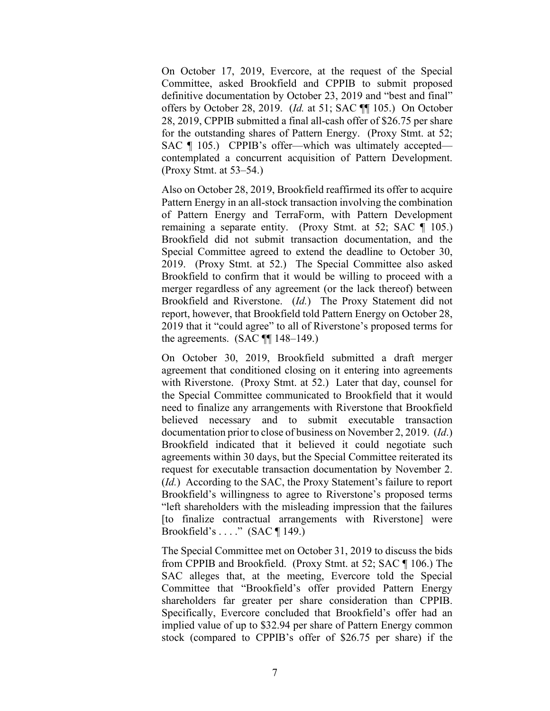On October 17, 2019, Evercore, at the request of the Special Committee, asked Brookfield and CPPIB to submit proposed definitive documentation by October 23, 2019 and "best and final" offers by October 28, 2019. (*Id.* at 51; SAC ¶¶ 105.) On October 28, 2019, CPPIB submitted a final all-cash offer of \$26.75 per share for the outstanding shares of Pattern Energy. (Proxy Stmt. at 52; SAC ¶ 105.) CPPIB's offer—which was ultimately accepted contemplated a concurrent acquisition of Pattern Development. (Proxy Stmt. at 53–54.)

Also on October 28, 2019, Brookfield reaffirmed its offer to acquire Pattern Energy in an all-stock transaction involving the combination of Pattern Energy and TerraForm, with Pattern Development remaining a separate entity. (Proxy Stmt. at 52; SAC ¶ 105.) Brookfield did not submit transaction documentation, and the Special Committee agreed to extend the deadline to October 30, 2019. (Proxy Stmt. at 52.) The Special Committee also asked Brookfield to confirm that it would be willing to proceed with a merger regardless of any agreement (or the lack thereof) between Brookfield and Riverstone. (*Id.*) The Proxy Statement did not report, however, that Brookfield told Pattern Energy on October 28, 2019 that it "could agree" to all of Riverstone's proposed terms for the agreements. (SAC ¶¶ 148–149.)

On October 30, 2019, Brookfield submitted a draft merger agreement that conditioned closing on it entering into agreements with Riverstone. (Proxy Stmt. at 52.) Later that day, counsel for the Special Committee communicated to Brookfield that it would need to finalize any arrangements with Riverstone that Brookfield believed necessary and to submit executable transaction documentation prior to close of business on November 2, 2019. (*Id*.) Brookfield indicated that it believed it could negotiate such agreements within 30 days, but the Special Committee reiterated its request for executable transaction documentation by November 2. (*Id.*) According to the SAC, the Proxy Statement's failure to report Brookfield's willingness to agree to Riverstone's proposed terms "left shareholders with the misleading impression that the failures [to finalize contractual arrangements with Riverstone] were Brookfield's . . . ." (SAC ¶ 149.)

The Special Committee met on October 31, 2019 to discuss the bids from CPPIB and Brookfield. (Proxy Stmt. at 52; SAC ¶ 106.) The SAC alleges that, at the meeting, Evercore told the Special Committee that "Brookfield's offer provided Pattern Energy shareholders far greater per share consideration than CPPIB. Specifically, Evercore concluded that Brookfield's offer had an implied value of up to \$32.94 per share of Pattern Energy common stock (compared to CPPIB's offer of \$26.75 per share) if the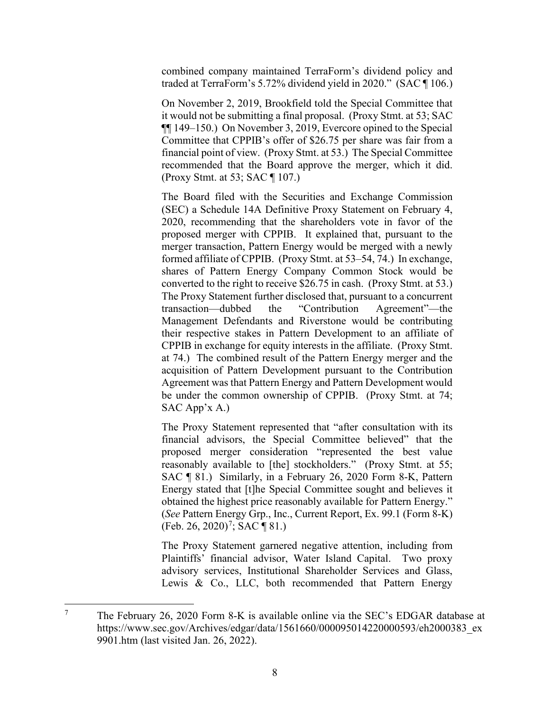combined company maintained TerraForm's dividend policy and traded at TerraForm's 5.72% dividend yield in 2020." (SAC ¶ 106.)

On November 2, 2019, Brookfield told the Special Committee that it would not be submitting a final proposal. (Proxy Stmt. at 53; SAC ¶¶ 149–150.) On November 3, 2019, Evercore opined to the Special Committee that CPPIB's offer of \$26.75 per share was fair from a financial point of view. (Proxy Stmt. at 53.) The Special Committee recommended that the Board approve the merger, which it did. (Proxy Stmt. at 53; SAC ¶ 107.)

The Board filed with the Securities and Exchange Commission (SEC) a Schedule 14A Definitive Proxy Statement on February 4, 2020, recommending that the shareholders vote in favor of the proposed merger with CPPIB. It explained that, pursuant to the merger transaction, Pattern Energy would be merged with a newly formed affiliate of CPPIB. (Proxy Stmt. at 53–54, 74.) In exchange, shares of Pattern Energy Company Common Stock would be converted to the right to receive \$26.75 in cash. (Proxy Stmt. at 53.) The Proxy Statement further disclosed that, pursuant to a concurrent transaction—dubbed the "Contribution Agreement"—the Management Defendants and Riverstone would be contributing their respective stakes in Pattern Development to an affiliate of CPPIB in exchange for equity interests in the affiliate. (Proxy Stmt. at 74.) The combined result of the Pattern Energy merger and the acquisition of Pattern Development pursuant to the Contribution Agreement was that Pattern Energy and Pattern Development would be under the common ownership of CPPIB. (Proxy Stmt. at 74; SAC App'x A.)

The Proxy Statement represented that "after consultation with its financial advisors, the Special Committee believed" that the proposed merger consideration "represented the best value reasonably available to [the] stockholders." (Proxy Stmt. at 55; SAC ¶ 81.) Similarly, in a February 26, 2020 Form 8-K, Pattern Energy stated that [t]he Special Committee sought and believes it obtained the highest price reasonably available for Pattern Energy." (*See* Pattern Energy Grp., Inc., Current Report, Ex. 99.1 (Form 8-K) (Feb. 26, 2020)<sup>[7](#page-8-0)</sup>; SAC ¶ 81.)

The Proxy Statement garnered negative attention, including from Plaintiffs' financial advisor, Water Island Capital. Two proxy advisory services, Institutional Shareholder Services and Glass, Lewis & Co., LLC, both recommended that Pattern Energy

<span id="page-8-0"></span><sup>&</sup>lt;sup>7</sup> The February 26, 2020 Form 8-K is available online via the SEC's EDGAR database at https://www.sec.gov/Archives/edgar/data/1561660/000095014220000593/eh2000383\_ex 9901.htm (last visited Jan. 26, 2022).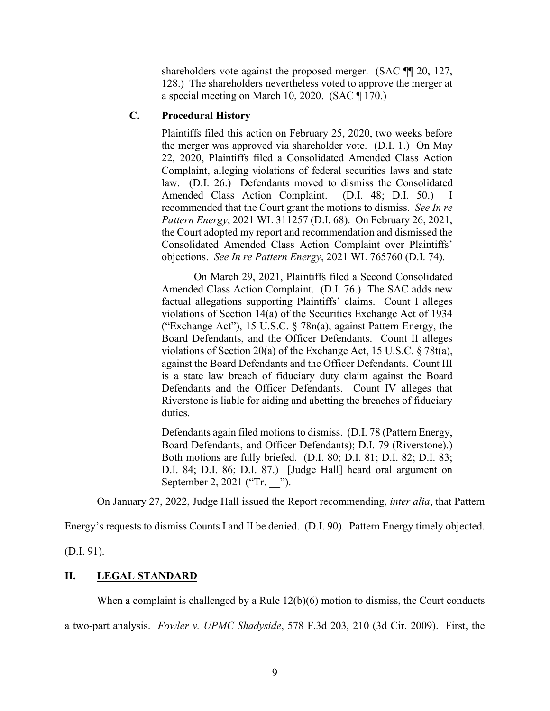shareholders vote against the proposed merger. (SAC  $\P$  120, 127, 128.) The shareholders nevertheless voted to approve the merger at a special meeting on March 10, 2020. (SAC ¶ 170.)

## **C. Procedural History**

Plaintiffs filed this action on February 25, 2020, two weeks before the merger was approved via shareholder vote. (D.I. 1.) On May 22, 2020, Plaintiffs filed a Consolidated Amended Class Action Complaint, alleging violations of federal securities laws and state law. (D.I. 26.) Defendants moved to dismiss the Consolidated Amended Class Action Complaint. (D.I. 48; D.I. 50.) I recommended that the Court grant the motions to dismiss. *See In re Pattern Energy*, 2021 WL 311257 (D.I. 68). On February 26, 2021, the Court adopted my report and recommendation and dismissed the Consolidated Amended Class Action Complaint over Plaintiffs' objections. *See In re Pattern Energy*, 2021 WL 765760 (D.I. 74).

On March 29, 2021, Plaintiffs filed a Second Consolidated Amended Class Action Complaint. (D.I. 76.) The SAC adds new factual allegations supporting Plaintiffs' claims. Count I alleges violations of Section 14(a) of the Securities Exchange Act of 1934 ("Exchange Act"), 15 U.S.C. § 78n(a), against Pattern Energy, the Board Defendants, and the Officer Defendants. Count II alleges violations of Section 20(a) of the Exchange Act, 15 U.S.C. § 78t(a), against the Board Defendants and the Officer Defendants. Count III is a state law breach of fiduciary duty claim against the Board Defendants and the Officer Defendants. Count IV alleges that Riverstone is liable for aiding and abetting the breaches of fiduciary duties.

Defendants again filed motions to dismiss. (D.I. 78 (Pattern Energy, Board Defendants, and Officer Defendants); D.I. 79 (Riverstone).) Both motions are fully briefed. (D.I. 80; D.I. 81; D.I. 82; D.I. 83; D.I. 84; D.I. 86; D.I. 87.) [Judge Hall] heard oral argument on September 2, 2021 ("Tr. ").

On January 27, 2022, Judge Hall issued the Report recommending, *inter alia*, that Pattern

Energy's requests to dismiss Counts I and II be denied. (D.I. 90). Pattern Energy timely objected.

(D.I. 91).

## **II. LEGAL STANDARD**

When a complaint is challenged by a Rule 12(b)(6) motion to dismiss, the Court conducts

a two-part analysis. *Fowler v. UPMC Shadyside*, 578 F.3d 203, 210 (3d Cir. 2009). First, the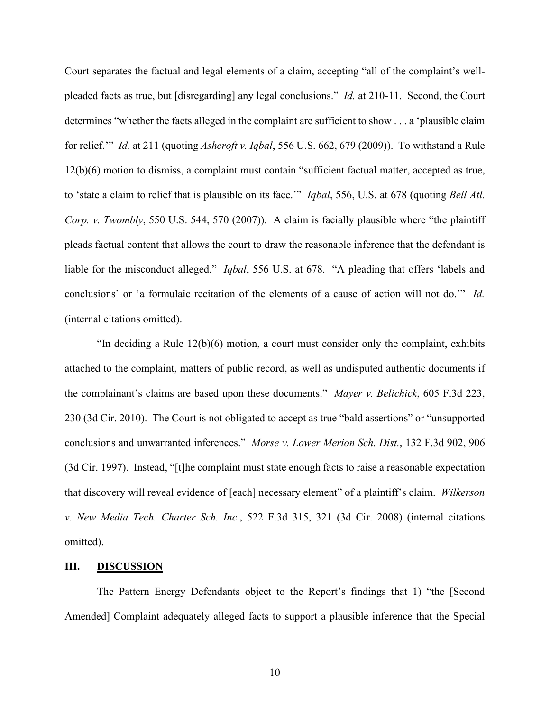Court separates the factual and legal elements of a claim, accepting "all of the complaint's wellpleaded facts as true, but [disregarding] any legal conclusions." *Id.* at 210-11. Second, the Court determines "whether the facts alleged in the complaint are sufficient to show . . . a 'plausible claim for relief.'" *Id.* at 211 (quoting *Ashcroft v. Iqbal*, 556 U.S. 662, 679 (2009)). To withstand a Rule 12(b)(6) motion to dismiss, a complaint must contain "sufficient factual matter, accepted as true, to 'state a claim to relief that is plausible on its face.'" *Iqbal*, 556, U.S. at 678 (quoting *Bell Atl. Corp. v. Twombly*, 550 U.S. 544, 570 (2007)). A claim is facially plausible where "the plaintiff pleads factual content that allows the court to draw the reasonable inference that the defendant is liable for the misconduct alleged." *Iqbal*, 556 U.S. at 678. "A pleading that offers 'labels and conclusions' or 'a formulaic recitation of the elements of a cause of action will not do.'" *Id.* (internal citations omitted).

"In deciding a Rule  $12(b)(6)$  motion, a court must consider only the complaint, exhibits attached to the complaint, matters of public record, as well as undisputed authentic documents if the complainant's claims are based upon these documents." *Mayer v. Belichick*, 605 F.3d 223, 230 (3d Cir. 2010). The Court is not obligated to accept as true "bald assertions" or "unsupported conclusions and unwarranted inferences." *Morse v. Lower Merion Sch. Dist.*, 132 F.3d 902, 906 (3d Cir. 1997). Instead, "[t]he complaint must state enough facts to raise a reasonable expectation that discovery will reveal evidence of [each] necessary element" of a plaintiff's claim. *Wilkerson v. New Media Tech. Charter Sch. Inc.*, 522 F.3d 315, 321 (3d Cir. 2008) (internal citations omitted).

#### **III. DISCUSSION**

The Pattern Energy Defendants object to the Report's findings that 1) "the [Second Amended] Complaint adequately alleged facts to support a plausible inference that the Special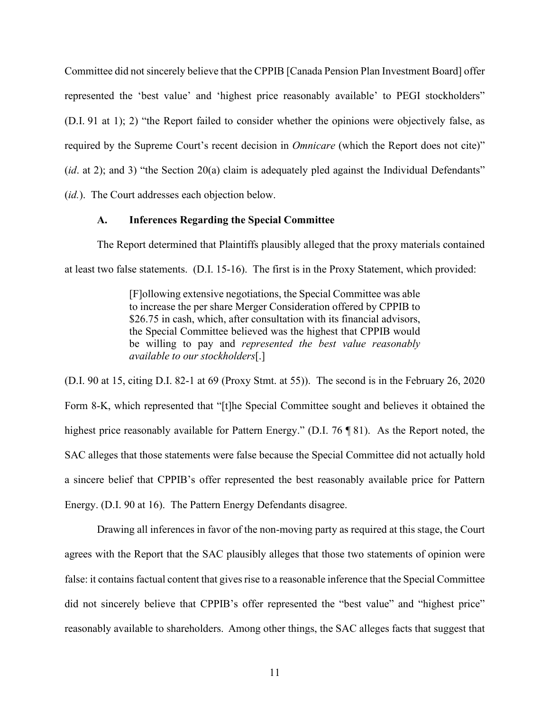Committee did not sincerely believe that the CPPIB [Canada Pension Plan Investment Board] offer represented the 'best value' and 'highest price reasonably available' to PEGI stockholders" (D.I. 91 at 1); 2) "the Report failed to consider whether the opinions were objectively false, as required by the Supreme Court's recent decision in *Omnicare* (which the Report does not cite)" (*id.* at 2); and 3) "the Section 20(a) claim is adequately pled against the Individual Defendants" (*id.*). The Court addresses each objection below.

### **A. Inferences Regarding the Special Committee**

The Report determined that Plaintiffs plausibly alleged that the proxy materials contained at least two false statements. (D.I. 15-16). The first is in the Proxy Statement, which provided:

> [F]ollowing extensive negotiations, the Special Committee was able to increase the per share Merger Consideration offered by CPPIB to \$26.75 in cash, which, after consultation with its financial advisors, the Special Committee believed was the highest that CPPIB would be willing to pay and *represented the best value reasonably available to our stockholders*[.]

(D.I. 90 at 15, citing D.I. 82-1 at 69 (Proxy Stmt. at 55)). The second is in the February 26, 2020 Form 8-K, which represented that "[t]he Special Committee sought and believes it obtained the highest price reasonably available for Pattern Energy." (D.I. 76 ¶ 81). As the Report noted, the SAC alleges that those statements were false because the Special Committee did not actually hold a sincere belief that CPPIB's offer represented the best reasonably available price for Pattern Energy. (D.I. 90 at 16). The Pattern Energy Defendants disagree.

Drawing all inferences in favor of the non-moving party as required at this stage, the Court agrees with the Report that the SAC plausibly alleges that those two statements of opinion were false: it contains factual content that gives rise to a reasonable inference that the Special Committee did not sincerely believe that CPPIB's offer represented the "best value" and "highest price" reasonably available to shareholders. Among other things, the SAC alleges facts that suggest that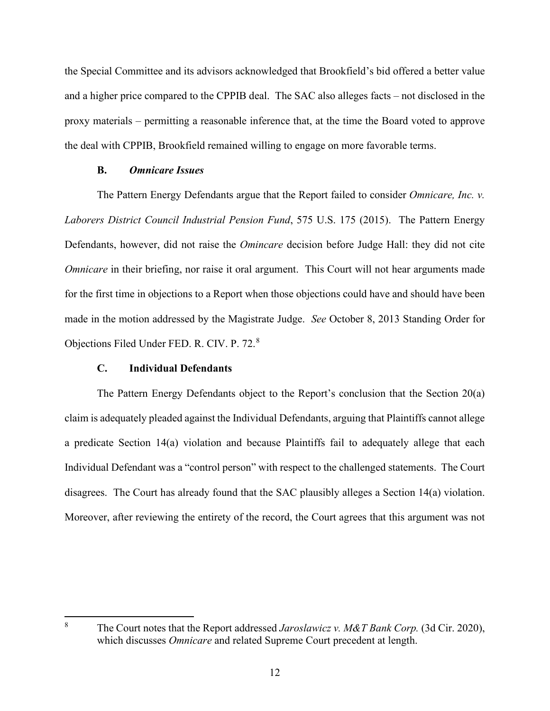the Special Committee and its advisors acknowledged that Brookfield's bid offered a better value and a higher price compared to the CPPIB deal. The SAC also alleges facts – not disclosed in the proxy materials – permitting a reasonable inference that, at the time the Board voted to approve the deal with CPPIB, Brookfield remained willing to engage on more favorable terms.

## **B.** *Omnicare Issues*

The Pattern Energy Defendants argue that the Report failed to consider *Omnicare, Inc. v. Laborers District Council Industrial Pension Fund*, 575 U.S. 175 (2015). The Pattern Energy Defendants, however, did not raise the *Omincare* decision before Judge Hall: they did not cite *Omnicare* in their briefing, nor raise it oral argument. This Court will not hear arguments made for the first time in objections to a Report when those objections could have and should have been made in the motion addressed by the Magistrate Judge. *See* October 8, 2013 Standing Order for Objections Filed Under FED. R. CIV. P. 72.[8](#page-12-0)

# **C. Individual Defendants**

The Pattern Energy Defendants object to the Report's conclusion that the Section 20(a) claim is adequately pleaded against the Individual Defendants, arguing that Plaintiffs cannot allege a predicate Section 14(a) violation and because Plaintiffs fail to adequately allege that each Individual Defendant was a "control person" with respect to the challenged statements. The Court disagrees. The Court has already found that the SAC plausibly alleges a Section 14(a) violation. Moreover, after reviewing the entirety of the record, the Court agrees that this argument was not

<span id="page-12-0"></span><sup>8</sup> The Court notes that the Report addressed *Jaroslawicz v. M&T Bank Corp.* (3d Cir. 2020), which discusses *Omnicare* and related Supreme Court precedent at length.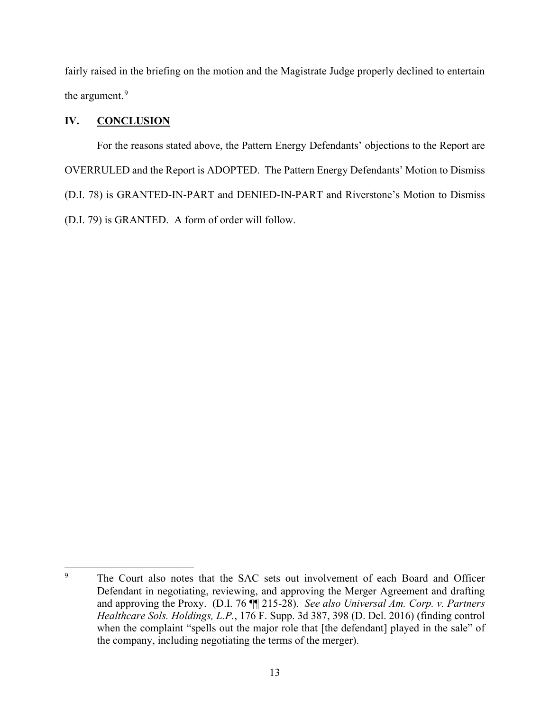fairly raised in the briefing on the motion and the Magistrate Judge properly declined to entertain the argument.<sup>[9](#page-13-0)</sup>

# **IV. CONCLUSION**

For the reasons stated above, the Pattern Energy Defendants' objections to the Report are OVERRULED and the Report is ADOPTED. The Pattern Energy Defendants' Motion to Dismiss (D.I. 78) is GRANTED-IN-PART and DENIED-IN-PART and Riverstone's Motion to Dismiss (D.I. 79) is GRANTED. A form of order will follow.

<span id="page-13-0"></span><sup>&</sup>lt;sup>9</sup> The Court also notes that the SAC sets out involvement of each Board and Officer Defendant in negotiating, reviewing, and approving the Merger Agreement and drafting and approving the Proxy. (D.I. 76 ¶¶ 215-28). *See also Universal Am. Corp. v. Partners Healthcare Sols. Holdings, L.P.*, 176 F. Supp. 3d 387, 398 (D. Del. 2016) (finding control when the complaint "spells out the major role that [the defendant] played in the sale" of the company, including negotiating the terms of the merger).